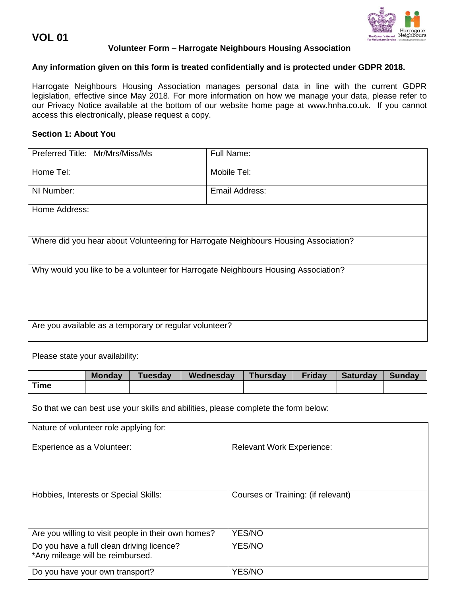**VOL 01**



# **Volunteer Form – Harrogate Neighbours Housing Association**

## **Any information given on this form is treated confidentially and is protected under GDPR 2018.**

Harrogate Neighbours Housing Association manages personal data in line with the current GDPR legislation, effective since May 2018. For more information on how we manage your data, please refer to our Privacy Notice available at the bottom of our website home page at [www.hnha.co.uk.](http://www.hnha.co.uk/) If you cannot access this electronically, please request a copy.

# **Section 1: About You**

| Preferred Title: Mr/Mrs/Miss/Ms                                                     | Full Name:     |  |
|-------------------------------------------------------------------------------------|----------------|--|
| Home Tel:                                                                           | Mobile Tel:    |  |
| NI Number:                                                                          | Email Address: |  |
| Home Address:                                                                       |                |  |
|                                                                                     |                |  |
| Where did you hear about Volunteering for Harrogate Neighbours Housing Association? |                |  |
| Why would you like to be a volunteer for Harrogate Neighbours Housing Association?  |                |  |
|                                                                                     |                |  |
| Are you available as a temporary or regular volunteer?                              |                |  |
|                                                                                     |                |  |

Please state your availability:

|      | <b>Monday</b> | <b>Tuesday</b> | Wednesday | <b>Thursday</b> | <b>Friday</b> | Saturday | <b>Sunday</b> |
|------|---------------|----------------|-----------|-----------------|---------------|----------|---------------|
| Time |               |                |           |                 |               |          |               |

So that we can best use your skills and abilities, please complete the form below:

| Nature of volunteer role applying for:                                        |                                    |  |  |
|-------------------------------------------------------------------------------|------------------------------------|--|--|
| Experience as a Volunteer:                                                    | <b>Relevant Work Experience:</b>   |  |  |
| Hobbies, Interests or Special Skills:                                         | Courses or Training: (if relevant) |  |  |
| Are you willing to visit people in their own homes?                           | YES/NO                             |  |  |
| Do you have a full clean driving licence?<br>*Any mileage will be reimbursed. | YES/NO                             |  |  |
| Do you have your own transport?                                               | YES/NO                             |  |  |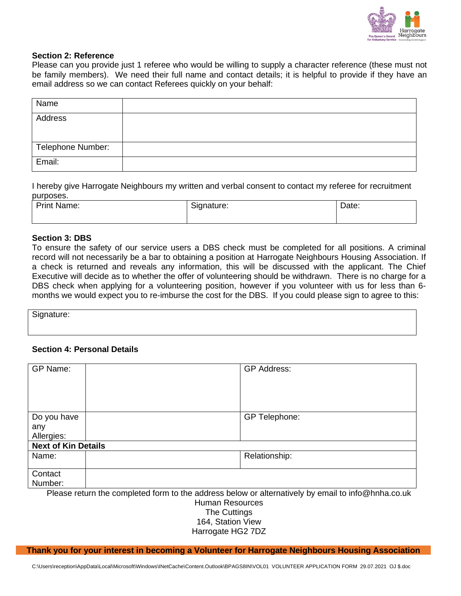

### **Section 2: Reference**

Please can you provide just 1 referee who would be willing to supply a character reference (these must not be family members). We need their full name and contact details; it is helpful to provide if they have an email address so we can contact Referees quickly on your behalf:

| Name              |  |
|-------------------|--|
| Address           |  |
|                   |  |
| Telephone Number: |  |
| Email:            |  |

I hereby give Harrogate Neighbours my written and verbal consent to contact my referee for recruitment purposes.

| <b>Print Name:</b> | Signature: | Date: |
|--------------------|------------|-------|
|                    |            |       |

### **Section 3: DBS**

To ensure the safety of our service users a DBS check must be completed for all positions. A criminal record will not necessarily be a bar to obtaining a position at Harrogate Neighbours Housing Association. If a check is returned and reveals any information, this will be discussed with the applicant. The Chief Executive will decide as to whether the offer of volunteering should be withdrawn. There is no charge for a DBS check when applying for a volunteering position, however if you volunteer with us for less than 6 months we would expect you to re-imburse the cost for the DBS. If you could please sign to agree to this:

Signature:

### **Section 4: Personal Details**

| GP Name:                                                                                           |  | <b>GP Address:</b>   |  |
|----------------------------------------------------------------------------------------------------|--|----------------------|--|
| Do you have<br>any<br>Allergies:                                                                   |  | <b>GP Telephone:</b> |  |
| <b>Next of Kin Details</b>                                                                         |  |                      |  |
| Name:                                                                                              |  | Relationship:        |  |
| Contact<br>Number:                                                                                 |  |                      |  |
| Please return the completed form to the address below or alternatively by email to info@hnha.co.uk |  |                      |  |

Human Resources The Cuttings 164, Station View Harrogate HG2 7DZ

**Thank you for your interest in becoming a Volunteer for Harrogate Neighbours Housing Association**

C:\Users\reception\AppData\Local\Microsoft\Windows\INetCache\Content.Outlook\BPAGS8IN\VOL01 VOLUNTEER APPLICATION FORM 29.07.2021 OJ \$.doc